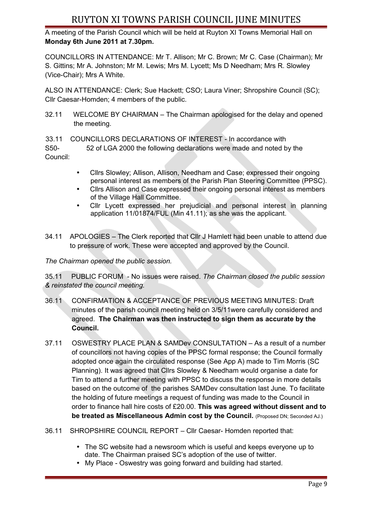## RUYTON XI TOWNS PARISH COUNCIL JUNE MINUTES

A meeting of the Parish Council which will be held at Ruyton XI Towns Memorial Hall on **Monday 6th June 2011 at 7.30pm.** 

COUNCILLORS IN ATTENDANCE: Mr T. Allison; Mr C. Brown; Mr C. Case (Chairman); Mr S. Gittins; Mr A. Johnston; Mr M. Lewis; Mrs M. Lycett; Ms D Needham; Mrs R. Slowley (Vice-Chair); Mrs A White.

ALSO IN ATTENDANCE: Clerk; Sue Hackett; CSO; Laura Viner; Shropshire Council (SC); Cllr Caesar-Homden; 4 members of the public.

32.11 WELCOME BY CHAIRMAN – The Chairman apologised for the delay and opened the meeting.

33.11 COUNCILLORS DECLARATIONS OF INTEREST - In accordance with

S50- 52 of LGA 2000 the following declarations were made and noted by the Council:

- Cllrs Slowley; Allison, Allison, Needham and Case; expressed their ongoing personal interest as members of the Parish Plan Steering Committee (PPSC).
- Cllrs Allison and Case expressed their ongoing personal interest as members of the Village Hall Committee.
- Cllr Lycett expressed her prejudicial and personal interest in planning application 11/01874/FUL (Min 41.11); as she was the applicant.
- 34.11 APOLOGIES The Clerk reported that Cllr J Hamlett had been unable to attend due to pressure of work. These were accepted and approved by the Council.

*The Chairman opened the public session.*

35.11 PUBLIC FORUM - No issues were raised. *The Chairman closed the public session & reinstated the council meeting.*

- 36.11 CONFIRMATION & ACCEPTANCE OF PREVIOUS MEETING MINUTES: Draft minutes of the parish council meeting held on 3/5/11were carefully considered and agreed. **The Chairman was then instructed to sign them as accurate by the Council.**
- 37.11 OSWESTRY PLACE PLAN & SAMDev CONSULTATION As a result of a number of councillors not having copies of the PPSC formal response; the Council formally adopted once again the circulated response (See App A) made to Tim Morris (SC Planning). It was agreed that Cllrs Slowley & Needham would organise a date for Tim to attend a further meeting with PPSC to discuss the response in more details based on the outcome of the parishes SAMDev consultation last June. To facilitate the holding of future meetings a request of funding was made to the Council in order to finance hall hire costs of £20.00. **This was agreed without dissent and to be treated as Miscellaneous Admin cost by the Council.** (Proposed DN; Seconded AJ.)
- 36.11 SHROPSHIRE COUNCIL REPORT Cllr Caesar- Homden reported that:
	- The SC website had a newsroom which is useful and keeps everyone up to date. The Chairman praised SC's adoption of the use of twitter.
	- My Place Oswestry was going forward and building had started.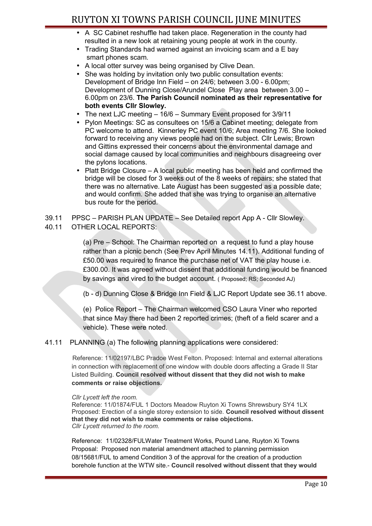- A SC Cabinet reshuffle had taken place. Regeneration in the county had resulted in a new look at retaining young people at work in the county.
- Trading Standards had warned against an invoicing scam and a E bay smart phones scam.
- A local otter survey was being organised by Clive Dean.
- She was holding by invitation only two public consultation events: Development of Bridge Inn Field – on 24/6; between 3.00 - 6.00pm; Development of Dunning Close/Arundel Close Play area between 3.00 – 6.00pm on 23/6. **The Parish Council nominated as their representative for both events Cllr Slowley.**
- The next LJC meeting 16/6 Summary Event proposed for 3/9/11
- Pylon Meetings: SC as consultees on 15/6 a Cabinet meeting; delegate from PC welcome to attend. Kinnerley PC event 10/6; Area meeting 7/6. She looked forward to receiving any views people had on the subject. Cllr Lewis; Brown and Gittins expressed their concerns about the environmental damage and social damage caused by local communities and neighbours disagreeing over the pylons locations.
- Platt Bridge Closure A local public meeting has been held and confirmed the bridge will be closed for 3 weeks out of the 8 weeks of repairs; she stated that there was no alternative. Late August has been suggested as a possible date; and would confirm. She added that she was trying to organise an alternative bus route for the period.

39.11 PPSC – PARISH PLAN UPDATE – See Detailed report App A - Cllr Slowley.

40.11 OTHER LOCAL REPORTS:

(a) Pre – School: The Chairman reported on a request to fund a play house rather than a picnic bench (See Prev April Minutes 14.11). Additional funding of £50.00 was required to finance the purchase net of VAT the play house i.e. £300.00. It was agreed without dissent that additional funding would be financed by savings and vired to the budget account. ( Proposed; RS; Seconded AJ)

(b - d) Dunning Close & Bridge Inn Field & LJC Report Update see 36.11 above.

(e) Police Report – The Chairman welcomed CSO Laura Viner who reported that since May there had been 2 reported crimes; (theft of a field scarer and a vehicle). These were noted.

41.11 PLANNING (a) The following planning applications were considered:

Reference: 11/02197/LBC Pradoe West Felton. Proposed: Internal and external alterations in connection with replacement of one window with double doors affecting a Grade II Star Listed Building. **Council resolved without dissent that they did not wish to make comments or raise objections.**

*Cllr Lycett left the room.*

Reference: 11/01874/FUL 1 Doctors Meadow Ruyton Xi Towns Shrewsbury SY4 1LX Proposed: Erection of a single storey extension to side. **Council resolved without dissent that they did not wish to make comments or raise objections.** *Cllr Lycett returned to the room.*

Reference: 11/02328/FULWater Treatment Works, Pound Lane, Ruyton Xi Towns Proposal: Proposed non material amendment attached to planning permission 08/15681/FUL to amend Condition 3 of the approval for the creation of a production borehole function at the WTW site.- **Council resolved without dissent that they would**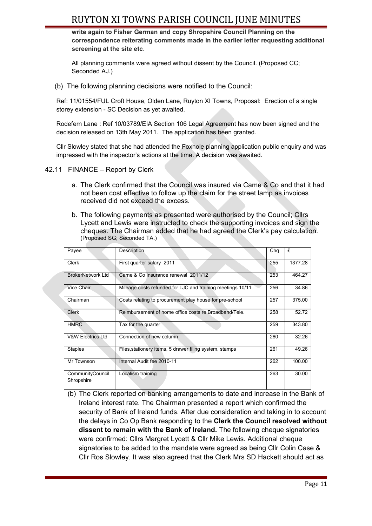## RUYTON XI TOWNS PARISH COUNCIL JUNE MINUTES

**write again to Fisher German and copy Shropshire Council Planning on the correspondence reiterating comments made in the earlier letter requesting additional screening at the site etc**.

All planning comments were agreed without dissent by the Council. (Proposed CC; Seconded AJ.)

(b) The following planning decisions were notified to the Council:

Ref: 11/01554/FUL Croft House, Olden Lane, Ruyton XI Towns, Proposal: Erection of a single storey extension - SC Decision as yet awaited.

Rodefern Lane : Ref 10/03789/EIA Section 106 Legal Agreement has now been signed and the decision released on 13th May 2011. The application has been granted.

Cllr Slowley stated that she had attended the Foxhole planning application public enquiry and was impressed with the inspector's actions at the time. A decision was awaited.

- 42.11 FINANCE Report by Clerk
	- a. The Clerk confirmed that the Council was insured via Came & Co and that it had not been cost effective to follow up the claim for the street lamp as invoices received did not exceed the excess.
	- b. The following payments as presented were authorised by the Council; Cllrs Lycett and Lewis were instructed to check the supporting invoices and sign the cheques. The Chairman added that he had agreed the Clerk's pay calculation. (Proposed SG; Seconded TA.)

| Payee                          | Description                                                | Cha | £       |
|--------------------------------|------------------------------------------------------------|-----|---------|
| <b>Clerk</b>                   | First quarter salary 2011                                  | 255 | 1377.28 |
| <b>BrokerNetwork Ltd</b>       | Came & Co Insurance renewal 2011/12                        | 253 | 464.27  |
| Vice Chair                     | Mileage costs refunded for LJC and training meetings 10/11 | 256 | 34.86   |
| Chairman                       | Costs relating to procurement play house for pre-school    | 257 | 375.00  |
| <b>Clerk</b>                   | Reimbursement of home office costs re Broadband/Tele.      | 258 | 52.72   |
| <b>HMRC</b>                    | Tax for the quarter                                        | 259 | 343.80  |
| <b>V&amp;W Electrics Ltd</b>   | Connection of new column                                   | 260 | 32.26   |
| <b>Staples</b>                 | Files, stationery items, 5 drawer filing system, stamps    | 261 | 49.26   |
| Mr Townson                     | Internal Audit fee 2010-11                                 | 262 | 100.00  |
| CommunityCouncil<br>Shropshire | Localism training                                          | 263 | 30.00   |

(b) The Clerk reported on banking arrangements to date and increase in the Bank of Ireland interest rate. The Chairman presented a report which confirmed the security of Bank of Ireland funds. After due consideration and taking in to account the delays in Co Op Bank responding to the **Clerk the Council resolved without dissent to remain with the Bank of Ireland.** The following cheque signatories were confirmed: Cllrs Margret Lycett & Cllr Mike Lewis. Additional cheque signatories to be added to the mandate were agreed as being Cllr Colin Case & Cllr Ros Slowley. It was also agreed that the Clerk Mrs SD Hackett should act as